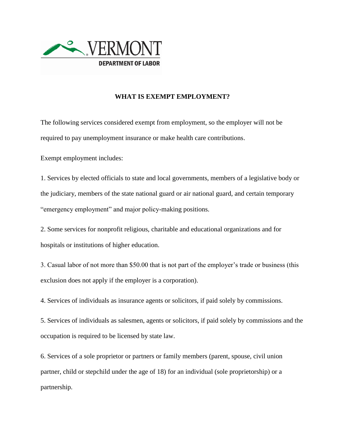

## **WHAT IS EXEMPT EMPLOYMENT?**

The following services considered exempt from employment, so the employer will not be required to pay unemployment insurance or make health care contributions.

Exempt employment includes:

1. Services by elected officials to state and local governments, members of a legislative body or the judiciary, members of the state national guard or air national guard, and certain temporary "emergency employment" and major policy-making positions.

2. Some services for nonprofit religious, charitable and educational organizations and for hospitals or institutions of higher education.

3. Casual labor of not more than \$50.00 that is not part of the employer's trade or business (this exclusion does not apply if the employer is a corporation).

4. Services of individuals as insurance agents or solicitors, if paid solely by commissions.

5. Services of individuals as salesmen, agents or solicitors, if paid solely by commissions and the occupation is required to be licensed by state law.

6. Services of a sole proprietor or partners or family members (parent, spouse, civil union partner, child or stepchild under the age of 18) for an individual (sole proprietorship) or a partnership.